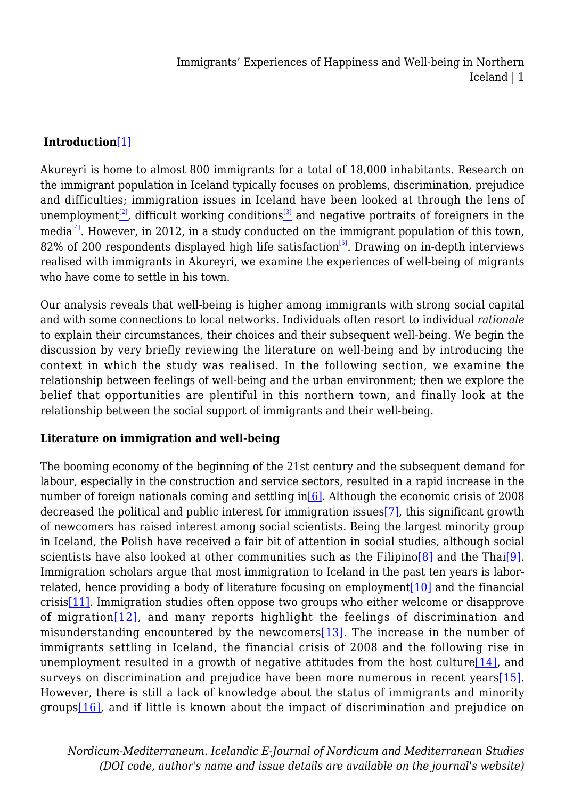## **Introduction**[\[1\]](#page--1-0)

<span id="page-0-1"></span><span id="page-0-0"></span>Akureyri is home to almost 800 immigrants for a total of 18,000 inhabitants. Research on the immigrant population in Iceland typically focuses on problems, discrimination, prejudice and difficulties; immigration issues in Iceland have been looked at through the lens of unemployment<sup>[\[2\]](#page-13-0)</sup>, difficult working conditions<sup>[\[3\]](#page-13-1)</sup> and negative portraits of foreigners in the media $^{[4]}$  $^{[4]}$  $^{[4]}$ . However, in 2012, in a study conducted on the immigrant population of this town, 82% of 200 respondents displayed high life satisfaction<sup>[\[5\]](#page-13-3)</sup>. Drawing on in-depth interviews realised with immigrants in Akureyri, we examine the experiences of well-being of migrants who have come to settle in his town.

<span id="page-0-2"></span>Our analysis reveals that well-being is higher among immigrants with strong social capital and with some connections to local networks. Individuals often resort to individual *rationale* to explain their circumstances, their choices and their subsequent well-being. We begin the discussion by very briefly reviewing the literature on well-being and by introducing the context in which the study was realised. In the following section, we examine the relationship between feelings of well-being and the urban environment; then we explore the belief that opportunities are plentiful in this northern town, and finally look at the relationship between the social support of immigrants and their well-being.

#### **Literature on immigration and well-being**

<span id="page-0-12"></span><span id="page-0-11"></span><span id="page-0-10"></span><span id="page-0-9"></span><span id="page-0-8"></span><span id="page-0-7"></span><span id="page-0-6"></span><span id="page-0-5"></span><span id="page-0-4"></span><span id="page-0-3"></span>The booming economy of the beginning of the 21st century and the subsequent demand for labour, especially in the construction and service sectors, resulted in a rapid increase in the number of foreign nationals coming and settling in [6]. Although the economic crisis of 2008 decreased the political and public interest for immigration issues[\[7\]](#page-14-0), this significant growth of newcomers has raised interest among social scientists. Being the largest minority group in Iceland, the Polish have received a fair bit of attention in social studies, although social scientists have also looked at other communities such as the Filipino<sup>[\[8\]](#page-14-1)</sup> and the Thai<sup>[9]</sup>. Immigration scholars argue that most immigration to Iceland in the past ten years is laborrelated, hence providing a body of literature focusing on employmen[t\[10\]](#page-14-3) and the financial crisi[s\[11\].](#page-14-4) Immigration studies often oppose two groups who either welcome or disapprove of migration $[12]$ , and many reports highlight the feelings of discrimination and misunderstanding encountered by the newcomers $[13]$ . The increase in the number of immigrants settling in Iceland, the financial crisis of 2008 and the following rise in unemployment resulted in a growth of negative attitudes from the host culture $[14]$ , and surveys on discrimination and prejudice have been more numerous in recent years  $[15]$ . However, there is still a lack of knowledge about the status of immigrants and minority groups[\[16\]](#page-15-1), and if little is known about the impact of discrimination and prejudice on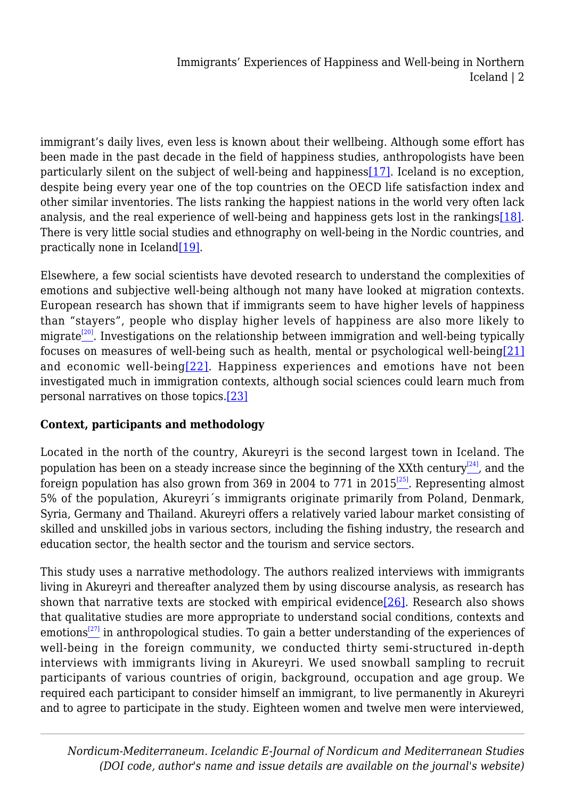<span id="page-1-0"></span>immigrant's daily lives, even less is known about their wellbeing. Although some effort has been made in the past decade in the field of happiness studies, anthropologists have been particularly silent on the subject of well-being and happiness[\[17\]](#page-15-2). Iceland is no exception, despite being every year one of the top countries on the OECD life satisfaction index and other similar inventories. The lists ranking the happiest nations in the world very often lack analysis, and the real experience of well-being and happiness gets lost in the rankings[\[18\]](#page-15-3). There is very little social studies and ethnography on well-being in the Nordic countries, and practically none in Iceland<sup>[19]</sup>.

<span id="page-1-3"></span><span id="page-1-2"></span><span id="page-1-1"></span>Elsewhere, a few social scientists have devoted research to understand the complexities of emotions and subjective well-being although not many have looked at migration contexts. European research has shown that if immigrants seem to have higher levels of happiness than "stayers", people who display higher levels of happiness are also more likely to migrate<sup>[\[20\]](#page-15-5)</sup>. Investigations on the relationship between immigration and well-being typically focuses on measures of well-being such as health, mental or psychological well-being[\[21\]](#page-15-6) and economic well-being[ $22$ ]. Happiness experiences and emotions have not been investigated much in immigration contexts, although social sciences could learn much from personal narratives on those topics.[\[23\]](#page-16-0)

# <span id="page-1-6"></span><span id="page-1-5"></span><span id="page-1-4"></span>**Context, participants and methodology**

<span id="page-1-8"></span><span id="page-1-7"></span>Located in the north of the country, Akureyri is the second largest town in Iceland. The population has been on a steady increase since the beginning of the XXth century<sup>[\[24\]](#page-16-1)</sup>, and the foreign population has also grown from 369 in 2004 to 771 in  $2015^{25}$ . Representing almost 5% of the population, Akureyri´s immigrants originate primarily from Poland, Denmark, Syria, Germany and Thailand. Akureyri offers a relatively varied labour market consisting of skilled and unskilled jobs in various sectors, including the fishing industry, the research and education sector, the health sector and the tourism and service sectors.

<span id="page-1-10"></span><span id="page-1-9"></span>This study uses a narrative methodology. The authors realized interviews with immigrants living in Akureyri and thereafter analyzed them by using discourse analysis, as research has shown that narrative texts are stocked with empirical evidence $[26]$ . Research also shows that qualitative studies are more appropriate to understand social conditions, contexts and emotions<sup>[\[27\]](#page-16-4)</sup> in anthropological studies. To gain a better understanding of the experiences of well-being in the foreign community, we conducted thirty semi-structured in-depth interviews with immigrants living in Akureyri. We used snowball sampling to recruit participants of various countries of origin, background, occupation and age group. We required each participant to consider himself an immigrant, to live permanently in Akureyri and to agree to participate in the study. Eighteen women and twelve men were interviewed,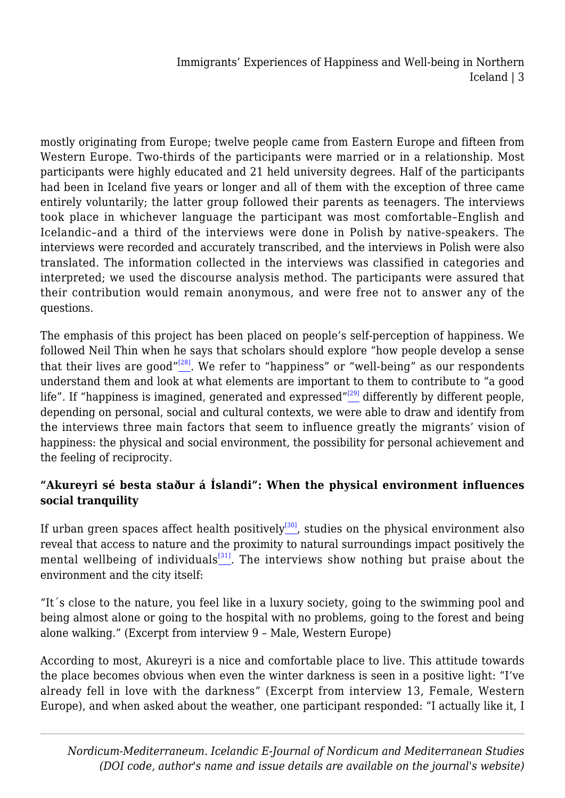mostly originating from Europe; twelve people came from Eastern Europe and fifteen from Western Europe. Two-thirds of the participants were married or in a relationship. Most participants were highly educated and 21 held university degrees. Half of the participants had been in Iceland five years or longer and all of them with the exception of three came entirely voluntarily; the latter group followed their parents as teenagers. The interviews took place in whichever language the participant was most comfortable–English and Icelandic–and a third of the interviews were done in Polish by native-speakers. The interviews were recorded and accurately transcribed, and the interviews in Polish were also translated. The information collected in the interviews was classified in categories and interpreted; we used the discourse analysis method. The participants were assured that their contribution would remain anonymous, and were free not to answer any of the questions.

<span id="page-2-1"></span><span id="page-2-0"></span>The emphasis of this project has been placed on people's self-perception of happiness. We followed Neil Thin when he says that scholars should explore "how people develop a sense that their lives are good" $^{[28]}$  $^{[28]}$  $^{[28]}$ . We refer to "happiness" or "well-being" as our respondents understand them and look at what elements are important to them to contribute to "a good life". If "happiness is imagined, generated and expressed"<sup>[\[29\]](#page-16-6)</sup> differently by different people, depending on personal, social and cultural contexts, we were able to draw and identify from the interviews three main factors that seem to influence greatly the migrants' vision of happiness: the physical and social environment, the possibility for personal achievement and the feeling of reciprocity.

## **"Akureyri sé besta staður á Íslandi": When the physical environment influences social tranquility**

<span id="page-2-3"></span><span id="page-2-2"></span>If urban green spaces affect health positively<sup>[\[30\]](#page-16-7)</sup>, studies on the physical environment also reveal that access to nature and the proximity to natural surroundings impact positively the mental wellbeing of individuals $\frac{[31]}{2}$  $\frac{[31]}{2}$  $\frac{[31]}{2}$ . The interviews show nothing but praise about the environment and the city itself:

"It´s close to the nature, you feel like in a luxury society, going to the swimming pool and being almost alone or going to the hospital with no problems, going to the forest and being alone walking." (Excerpt from interview 9 – Male, Western Europe)

According to most, Akureyri is a nice and comfortable place to live. This attitude towards the place becomes obvious when even the winter darkness is seen in a positive light: "I've already fell in love with the darkness" (Excerpt from interview 13, Female, Western Europe), and when asked about the weather, one participant responded: "I actually like it, I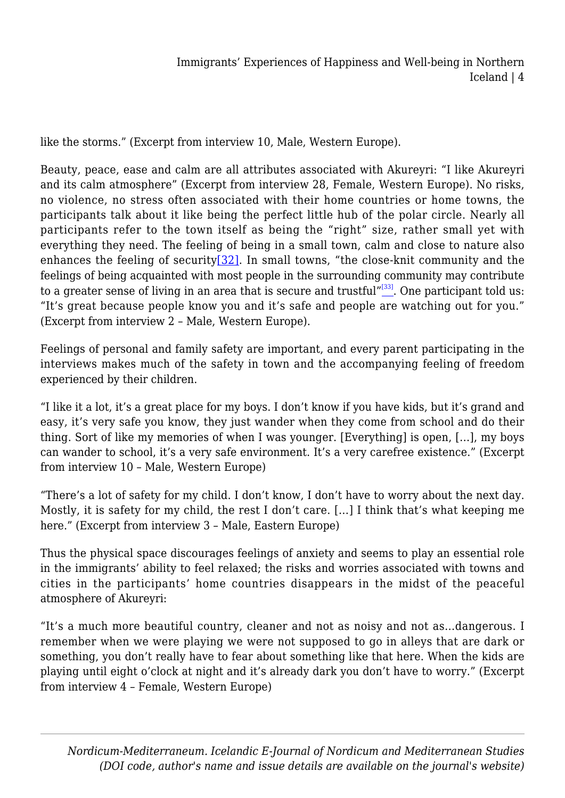like the storms." (Excerpt from interview 10, Male, Western Europe).

Beauty, peace, ease and calm are all attributes associated with Akureyri: "I like Akureyri and its calm atmosphere" (Excerpt from interview 28, Female, Western Europe). No risks, no violence, no stress often associated with their home countries or home towns, the participants talk about it like being the perfect little hub of the polar circle. Nearly all participants refer to the town itself as being the "right" size, rather small yet with everything they need. The feeling of being in a small town, calm and close to nature also enhances the feeling of security $[32]$ . In small towns, "the close-knit community and the feelings of being acquainted with most people in the surrounding community may contribute to a greater sense of living in an area that is secure and trustful $^{\prime\prime}$ <sup>[\[33\]](#page-16-10)</sup>. One participant told us: "It's great because people know you and it's safe and people are watching out for you." (Excerpt from interview 2 – Male, Western Europe).

<span id="page-3-1"></span><span id="page-3-0"></span>Feelings of personal and family safety are important, and every parent participating in the interviews makes much of the safety in town and the accompanying feeling of freedom experienced by their children.

"I like it a lot, it's a great place for my boys. I don't know if you have kids, but it's grand and easy, it's very safe you know, they just wander when they come from school and do their thing. Sort of like my memories of when I was younger. [Everything] is open, […], my boys can wander to school, it's a very safe environment. It's a very carefree existence." (Excerpt from interview 10 – Male, Western Europe)

"There's a lot of safety for my child. I don't know, I don't have to worry about the next day. Mostly, it is safety for my child, the rest I don't care. […] I think that's what keeping me here." (Excerpt from interview 3 – Male, Eastern Europe)

Thus the physical space discourages feelings of anxiety and seems to play an essential role in the immigrants' ability to feel relaxed; the risks and worries associated with towns and cities in the participants' home countries disappears in the midst of the peaceful atmosphere of Akureyri:

"It's a much more beautiful country, cleaner and not as noisy and not as…dangerous. I remember when we were playing we were not supposed to go in alleys that are dark or something, you don't really have to fear about something like that here. When the kids are playing until eight o'clock at night and it's already dark you don't have to worry." (Excerpt from interview 4 – Female, Western Europe)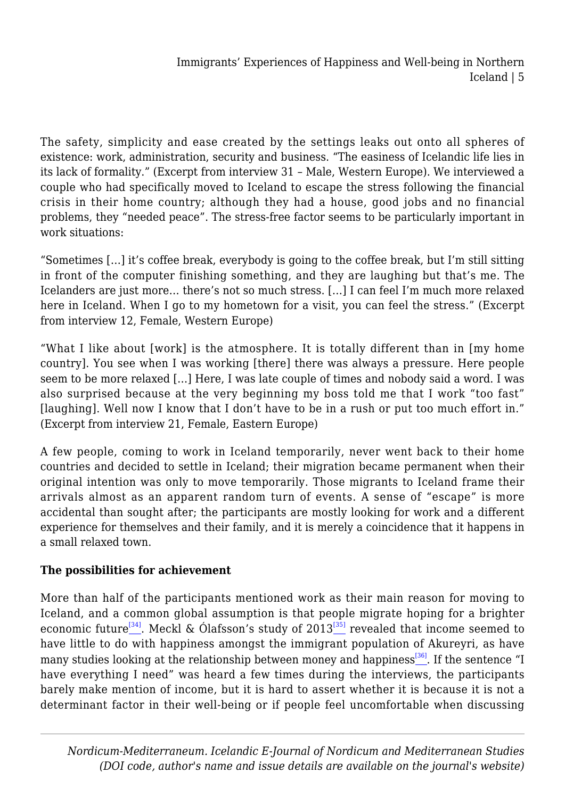The safety, simplicity and ease created by the settings leaks out onto all spheres of existence: work, administration, security and business. "The easiness of Icelandic life lies in its lack of formality." (Excerpt from interview 31 – Male, Western Europe). We interviewed a couple who had specifically moved to Iceland to escape the stress following the financial crisis in their home country; although they had a house, good jobs and no financial problems, they "needed peace". The stress-free factor seems to be particularly important in work situations:

"Sometimes […] it's coffee break, everybody is going to the coffee break, but I'm still sitting in front of the computer finishing something, and they are laughing but that's me. The Icelanders are just more… there's not so much stress. […] I can feel I'm much more relaxed here in Iceland. When I go to my hometown for a visit, you can feel the stress." (Excerpt from interview 12, Female, Western Europe)

"What I like about [work] is the atmosphere. It is totally different than in [my home country]. You see when I was working [there] there was always a pressure. Here people seem to be more relaxed […] Here, I was late couple of times and nobody said a word. I was also surprised because at the very beginning my boss told me that I work "too fast" [laughing]. Well now I know that I don't have to be in a rush or put too much effort in." (Excerpt from interview 21, Female, Eastern Europe)

A few people, coming to work in Iceland temporarily, never went back to their home countries and decided to settle in Iceland; their migration became permanent when their original intention was only to move temporarily. Those migrants to Iceland frame their arrivals almost as an apparent random turn of events. A sense of "escape" is more accidental than sought after; the participants are mostly looking for work and a different experience for themselves and their family, and it is merely a coincidence that it happens in a small relaxed town.

# **The possibilities for achievement**

<span id="page-4-2"></span><span id="page-4-1"></span><span id="page-4-0"></span>More than half of the participants mentioned work as their main reason for moving to Iceland, and a common global assumption is that people migrate hoping for a brighter economic future<sup>[\[34\]](#page-16-11)</sup>. Meckl & Ólafsson's study of  $2013^{35}$  revealed that income seemed to have little to do with happiness amongst the immigrant population of Akureyri, as have many studies looking at the relationship between money and happiness<sup>[\[36\]](#page-17-1)</sup>. If the sentence "I have everything I need" was heard a few times during the interviews, the participants barely make mention of income, but it is hard to assert whether it is because it is not a determinant factor in their well-being or if people feel uncomfortable when discussing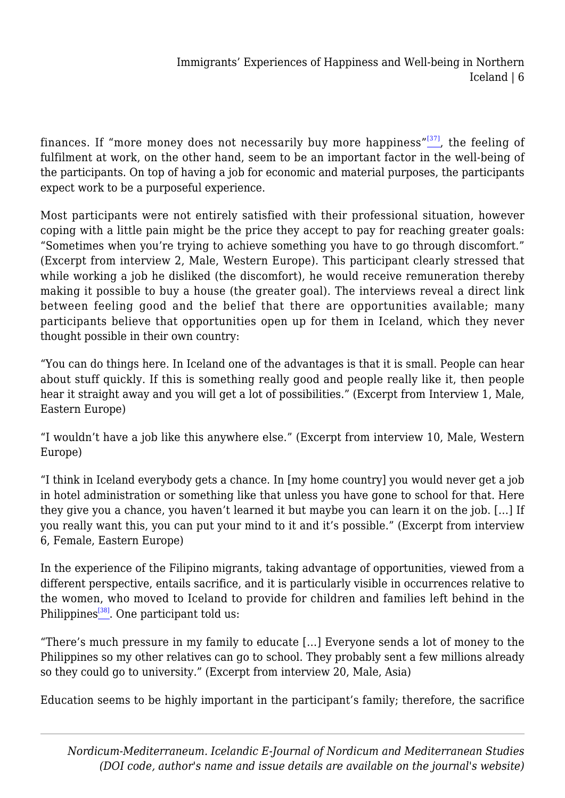finances. If "more money does not necessarily buy more happiness"<sup>[\[37\]](#page-17-2)</sup>, the feeling of fulfilment at work, on the other hand, seem to be an important factor in the well-being of the participants. On top of having a job for economic and material purposes, the participants expect work to be a purposeful experience.

Most participants were not entirely satisfied with their professional situation, however coping with a little pain might be the price they accept to pay for reaching greater goals: "Sometimes when you're trying to achieve something you have to go through discomfort." (Excerpt from interview 2, Male, Western Europe). This participant clearly stressed that while working a job he disliked (the discomfort), he would receive remuneration thereby making it possible to buy a house (the greater goal). The interviews reveal a direct link between feeling good and the belief that there are opportunities available; many participants believe that opportunities open up for them in Iceland, which they never thought possible in their own country:

"You can do things here. In Iceland one of the advantages is that it is small. People can hear about stuff quickly. If this is something really good and people really like it, then people hear it straight away and you will get a lot of possibilities." (Excerpt from Interview 1, Male, Eastern Europe)

"I wouldn't have a job like this anywhere else." (Excerpt from interview 10, Male, Western Europe)

"I think in Iceland everybody gets a chance. In [my home country] you would never get a job in hotel administration or something like that unless you have gone to school for that. Here they give you a chance, you haven't learned it but maybe you can learn it on the job. […] If you really want this, you can put your mind to it and it's possible." (Excerpt from interview 6, Female, Eastern Europe)

In the experience of the Filipino migrants, taking advantage of opportunities, viewed from a different perspective, entails sacrifice, and it is particularly visible in occurrences relative to the women, who moved to Iceland to provide for children and families left behind in the Philippines<sup>[\[38\]](#page-17-3)</sup>. One participant told us:

<span id="page-5-0"></span>"There's much pressure in my family to educate […] Everyone sends a lot of money to the Philippines so my other relatives can go to school. They probably sent a few millions already so they could go to university." (Excerpt from interview 20, Male, Asia)

Education seems to be highly important in the participant's family; therefore, the sacrifice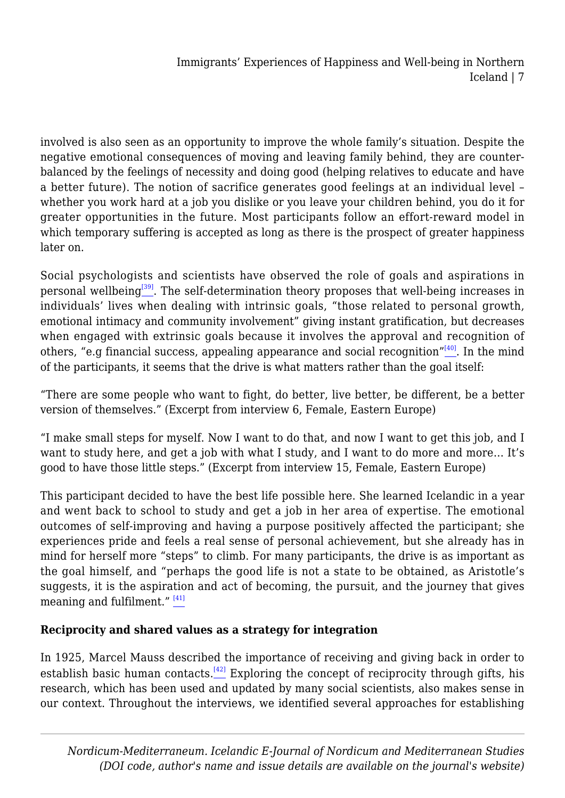involved is also seen as an opportunity to improve the whole family's situation. Despite the negative emotional consequences of moving and leaving family behind, they are counterbalanced by the feelings of necessity and doing good (helping relatives to educate and have a better future). The notion of sacrifice generates good feelings at an individual level – whether you work hard at a job you dislike or you leave your children behind, you do it for greater opportunities in the future. Most participants follow an effort-reward model in which temporary suffering is accepted as long as there is the prospect of greater happiness later on.

<span id="page-6-0"></span>Social psychologists and scientists have observed the role of goals and aspirations in personal wellbeing<sup>[\[39\]](#page-17-4)</sup>. The self-determination theory proposes that well-being increases in individuals' lives when dealing with intrinsic goals, "those related to personal growth, emotional intimacy and community involvement" giving instant gratification, but decreases when engaged with extrinsic goals because it involves the approval and recognition of others, "e.g financial success, appealing appearance and social recognition" $[40]$ . In the mind of the participants, it seems that the drive is what matters rather than the goal itself:

<span id="page-6-1"></span>"There are some people who want to fight, do better, live better, be different, be a better version of themselves." (Excerpt from interview 6, Female, Eastern Europe)

"I make small steps for myself. Now I want to do that, and now I want to get this job, and I want to study here, and get a job with what I study, and I want to do more and more… It's good to have those little steps." (Excerpt from interview 15, Female, Eastern Europe)

This participant decided to have the best life possible here. She learned Icelandic in a year and went back to school to study and get a job in her area of expertise. The emotional outcomes of self-improving and having a purpose positively affected the participant; she experiences pride and feels a real sense of personal achievement, but she already has in mind for herself more "steps" to climb. For many participants, the drive is as important as the goal himself, and "perhaps the good life is not a state to be obtained, as Aristotle's suggests, it is the aspiration and act of becoming, the pursuit, and the journey that gives meaning and fulfilment."<sup>[\[41\]](#page-17-6)</sup>

## <span id="page-6-2"></span>**Reciprocity and shared values as a strategy for integration**

<span id="page-6-3"></span>In 1925, Marcel Mauss described the importance of receiving and giving back in order to establish basic human contacts.<sup>[\[42\]](#page-17-7)</sup> Exploring the concept of reciprocity through gifts, his research, which has been used and updated by many social scientists, also makes sense in our context. Throughout the interviews, we identified several approaches for establishing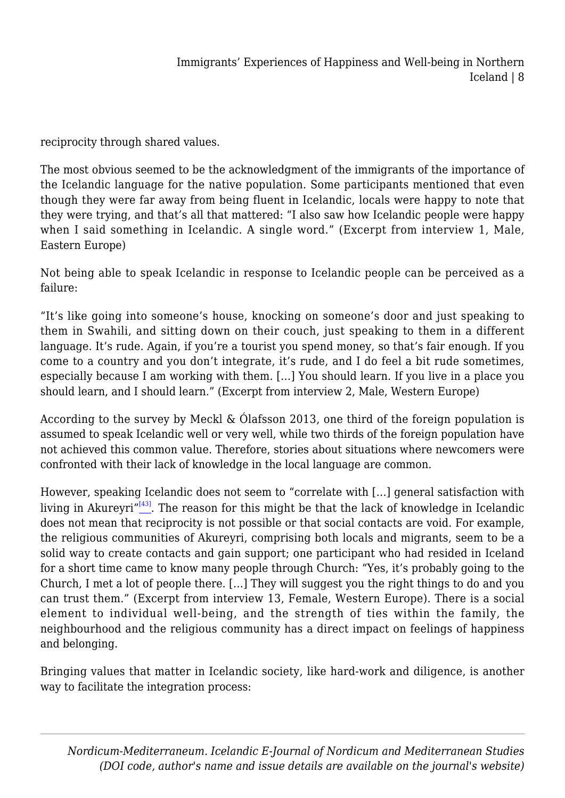reciprocity through shared values.

The most obvious seemed to be the acknowledgment of the immigrants of the importance of the Icelandic language for the native population. Some participants mentioned that even though they were far away from being fluent in Icelandic, locals were happy to note that they were trying, and that's all that mattered: "I also saw how Icelandic people were happy when I said something in Icelandic. A single word." (Excerpt from interview 1, Male, Eastern Europe)

Not being able to speak Icelandic in response to Icelandic people can be perceived as a failure:

"It's like going into someone's house, knocking on someone's door and just speaking to them in Swahili, and sitting down on their couch, just speaking to them in a different language. It's rude. Again, if you're a tourist you spend money, so that's fair enough. If you come to a country and you don't integrate, it's rude, and I do feel a bit rude sometimes, especially because I am working with them. […] You should learn. If you live in a place you should learn, and I should learn." (Excerpt from interview 2, Male, Western Europe)

According to the survey by Meckl & Ólafsson 2013, one third of the foreign population is assumed to speak Icelandic well or very well, while two thirds of the foreign population have not achieved this common value. Therefore, stories about situations where newcomers were confronted with their lack of knowledge in the local language are common.

<span id="page-7-0"></span>However, speaking Icelandic does not seem to "correlate with […] general satisfaction with living in Akureyri $^{\prime\prime(43)}$ . The reason for this might be that the lack of knowledge in Icelandic does not mean that reciprocity is not possible or that social contacts are void. For example, the religious communities of Akureyri, comprising both locals and migrants, seem to be a solid way to create contacts and gain support; one participant who had resided in Iceland for a short time came to know many people through Church: "Yes, it's probably going to the Church, I met a lot of people there. […] They will suggest you the right things to do and you can trust them." (Excerpt from interview 13, Female, Western Europe). There is a social element to individual well-being, and the strength of ties within the family, the neighbourhood and the religious community has a direct impact on feelings of happiness and belonging.

Bringing values that matter in Icelandic society, like hard-work and diligence, is another way to facilitate the integration process: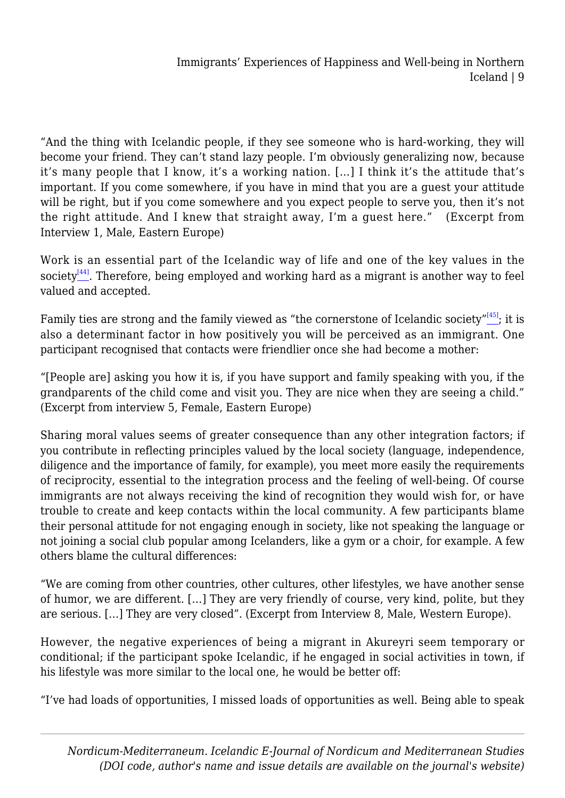"And the thing with Icelandic people, if they see someone who is hard-working, they will become your friend. They can't stand lazy people. I'm obviously generalizing now, because it's many people that I know, it's a working nation. […] I think it's the attitude that's important. If you come somewhere, if you have in mind that you are a guest your attitude will be right, but if you come somewhere and you expect people to serve you, then it's not the right attitude. And I knew that straight away, I'm a guest here." (Excerpt from Interview 1, Male, Eastern Europe)

<span id="page-8-0"></span>Work is an essential part of the Icelandic way of life and one of the key values in the society<sup>[\[44\]](#page-17-9)</sup>. Therefore, being employed and working hard as a migrant is another way to feel valued and accepted.

<span id="page-8-1"></span>Family ties are strong and the family viewed as "the cornerstone of Icelandic society" $[45]$ ; it is also a determinant factor in how positively you will be perceived as an immigrant. One participant recognised that contacts were friendlier once she had become a mother:

"[People are] asking you how it is, if you have support and family speaking with you, if the grandparents of the child come and visit you. They are nice when they are seeing a child." (Excerpt from interview 5, Female, Eastern Europe)

Sharing moral values seems of greater consequence than any other integration factors; if you contribute in reflecting principles valued by the local society (language, independence, diligence and the importance of family, for example), you meet more easily the requirements of reciprocity, essential to the integration process and the feeling of well-being. Of course immigrants are not always receiving the kind of recognition they would wish for, or have trouble to create and keep contacts within the local community. A few participants blame their personal attitude for not engaging enough in society, like not speaking the language or not joining a social club popular among Icelanders, like a gym or a choir, for example. A few others blame the cultural differences:

"We are coming from other countries, other cultures, other lifestyles, we have another sense of humor, we are different. […] They are very friendly of course, very kind, polite, but they are serious. […] They are very closed". (Excerpt from Interview 8, Male, Western Europe).

However, the negative experiences of being a migrant in Akureyri seem temporary or conditional; if the participant spoke Icelandic, if he engaged in social activities in town, if his lifestyle was more similar to the local one, he would be better off:

"I've had loads of opportunities, I missed loads of opportunities as well. Being able to speak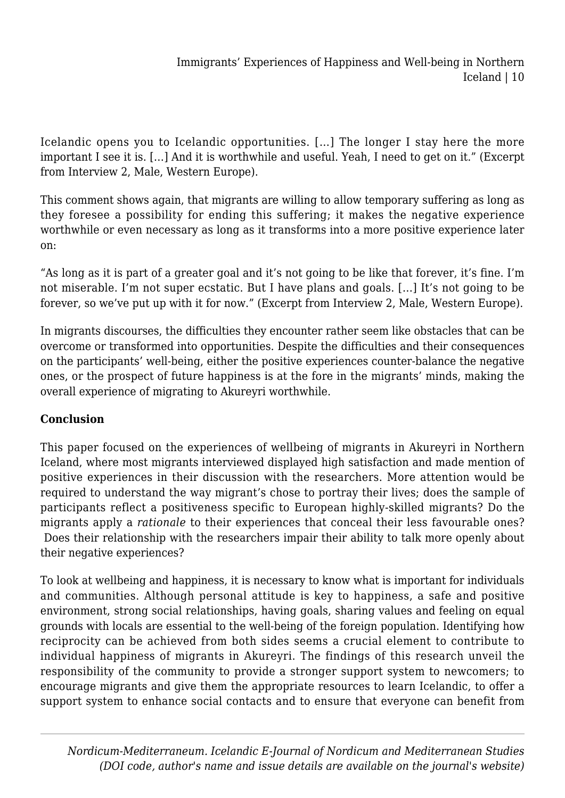Icelandic opens you to Icelandic opportunities. […] The longer I stay here the more important I see it is. […] And it is worthwhile and useful. Yeah, I need to get on it." (Excerpt from Interview 2, Male, Western Europe).

This comment shows again, that migrants are willing to allow temporary suffering as long as they foresee a possibility for ending this suffering; it makes the negative experience worthwhile or even necessary as long as it transforms into a more positive experience later on:

"As long as it is part of a greater goal and it's not going to be like that forever, it's fine. I'm not miserable. I'm not super ecstatic. But I have plans and goals. […] It's not going to be forever, so we've put up with it for now." (Excerpt from Interview 2, Male, Western Europe).

In migrants discourses, the difficulties they encounter rather seem like obstacles that can be overcome or transformed into opportunities. Despite the difficulties and their consequences on the participants' well-being, either the positive experiences counter-balance the negative ones, or the prospect of future happiness is at the fore in the migrants' minds, making the overall experience of migrating to Akureyri worthwhile.

## **Conclusion**

This paper focused on the experiences of wellbeing of migrants in Akureyri in Northern Iceland, where most migrants interviewed displayed high satisfaction and made mention of positive experiences in their discussion with the researchers. More attention would be required to understand the way migrant's chose to portray their lives; does the sample of participants reflect a positiveness specific to European highly-skilled migrants? Do the migrants apply a *rationale* to their experiences that conceal their less favourable ones? Does their relationship with the researchers impair their ability to talk more openly about their negative experiences?

To look at wellbeing and happiness, it is necessary to know what is important for individuals and communities. Although personal attitude is key to happiness, a safe and positive environment, strong social relationships, having goals, sharing values and feeling on equal grounds with locals are essential to the well-being of the foreign population. Identifying how reciprocity can be achieved from both sides seems a crucial element to contribute to individual happiness of migrants in Akureyri. The findings of this research unveil the responsibility of the community to provide a stronger support system to newcomers; to encourage migrants and give them the appropriate resources to learn Icelandic, to offer a support system to enhance social contacts and to ensure that everyone can benefit from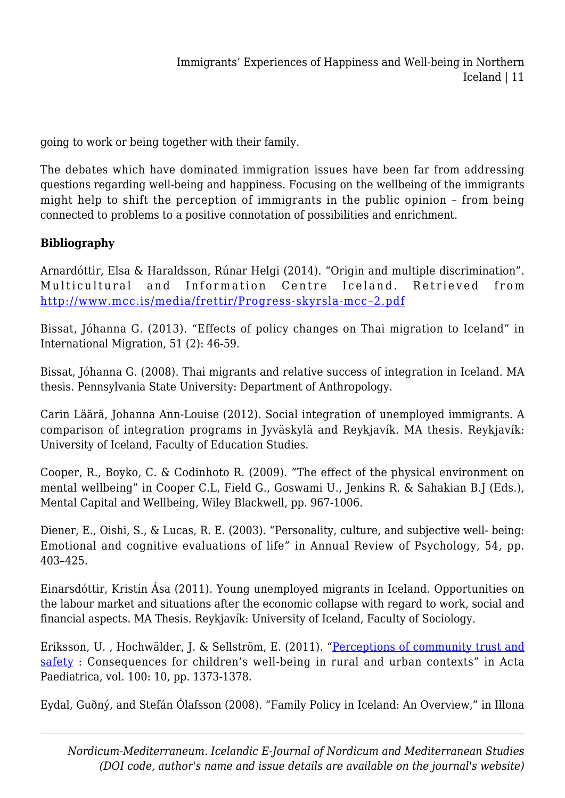going to work or being together with their family.

The debates which have dominated immigration issues have been far from addressing questions regarding well-being and happiness. Focusing on the wellbeing of the immigrants might help to shift the perception of immigrants in the public opinion – from being connected to problems to a positive connotation of possibilities and enrichment.

## **Bibliography**

Arnardóttir, Elsa & Haraldsson, Rúnar Helgi (2014). "Origin and multiple discrimination". Multicultural and Information Centre Iceland. Retrieved from [http://www.mcc.is/media/frettir/Progress-skyrsla-mcc–2.pdf](http://www.mcc.is/media/frettir/Progress-skyrsla-mcc--2.pdf)

Bissat, Jóhanna G. (2013). "Effects of policy changes on Thai migration to Iceland" in International Migration, 51 (2): 46-59.

Bissat, Jóhanna G. (2008). Thai migrants and relative success of integration in Iceland. MA thesis. Pennsylvania State University: Department of Anthropology.

Carin Läärä, Johanna Ann-Louise (2012). Social integration of unemployed immigrants. A comparison of integration programs in Jyväskylä and Reykjavík. MA thesis. Reykjavík: University of Iceland, Faculty of Education Studies.

Cooper, R., Boyko, C. & Codinhoto R. (2009). "The effect of the physical environment on mental wellbeing" in Cooper C.L, Field G., Goswami U., Jenkins R. & Sahakian B.J (Eds.), Mental Capital and Wellbeing, Wiley Blackwell, pp. 967-1006.

Diener, E., Oishi, S., & Lucas, R. E. (2003). "Personality, culture, and subjective well- being: Emotional and cognitive evaluations of life" in Annual Review of Psychology, 54, pp. 403–425.

Einarsdóttir, Kristín Ása (2011). Young unemployed migrants in Iceland. Opportunities on the labour market and situations after the economic collapse with regard to work, social and financial aspects. MA Thesis. Reykjavík: University of Iceland, Faculty of Sociology.

Eriksson, U. , Hochwälder, J. & Sellström, E. (2011). ["Perceptions of community trust and](http://urn.kb.se/resolve?urn=urn:nbn:se:miun:diva-13933) [safety](http://urn.kb.se/resolve?urn=urn:nbn:se:miun:diva-13933) : Consequences for children's well-being in rural and urban contexts" in Acta Paediatrica, vol. 100: 10, pp. 1373-1378.

Eydal, Guðný, and Stefán Ólafsson (2008). "Family Policy in Iceland: An Overview," in Illona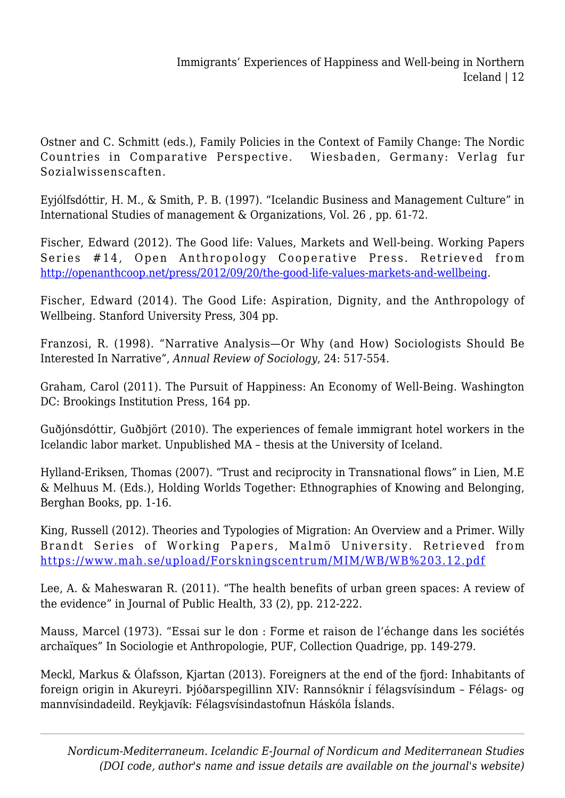Ostner and C. Schmitt (eds.), Family Policies in the Context of Family Change: The Nordic Countries in Comparative Perspective. Wiesbaden, Germany: Verlag fur Sozialwissenscaften.

Eyjólfsdóttir, H. M., & Smith, P. B. (1997). "Icelandic Business and Management Culture" in International Studies of management & Organizations, Vol. 26 , pp. 61-72.

Fischer, Edward (2012). The Good life: Values, Markets and Well-being. Working Papers Series #14, Open Anthropology Cooperative Press. Retrieved from [http://openanthcoop.net/press/2012/09/20/the-good-life-values-markets-and-wellbeing.](http://openanthcoop.net/press/2012/09/20/the-good-life-values-markets-and-wellbeing)

Fischer, Edward (2014). The Good Life: Aspiration, Dignity, and the Anthropology of Wellbeing. Stanford University Press, 304 pp.

Franzosi, R. (1998). "Narrative Analysis—Or Why (and How) Sociologists Should Be Interested In Narrative", *Annual Review of Sociology*, 24: 517-554.

Graham, Carol (2011). The Pursuit of Happiness: An Economy of Well-Being. Washington DC: Brookings Institution Press, 164 pp.

Guðjónsdóttir, Guðbjört (2010). The experiences of female immigrant hotel workers in the Icelandic labor market. Unpublished MA – thesis at the University of Iceland.

Hylland-Eriksen, Thomas (2007). "Trust and reciprocity in Transnational flows" in Lien, M.E & Melhuus M. (Eds.), Holding Worlds Together: Ethnographies of Knowing and Belonging, Berghan Books, pp. 1-16.

King, Russell (2012). Theories and Typologies of Migration: An Overview and a Primer. Willy Brandt Series of Working Papers, Malmö University. Retrieved from <https://www.mah.se/upload/Forskningscentrum/MIM/WB/WB%203.12.pdf>

Lee, A. & Maheswaran R. (2011). "The health benefits of urban green spaces: A review of the evidence" in Journal of Public Health, 33 (2), pp. 212-222.

Mauss, Marcel (1973). "Essai sur le don : Forme et raison de l'échange dans les sociétés archaïques" In Sociologie et Anthropologie, PUF, Collection Quadrige, pp. 149-279.

Meckl, Markus & Ólafsson, Kjartan (2013). Foreigners at the end of the fjord: Inhabitants of foreign origin in Akureyri. Þjóðarspegillinn XIV: Rannsóknir í félagsvísindum – Félags- og mannvísindadeild. Reykjavík: Félagsvísindastofnun Háskóla Íslands.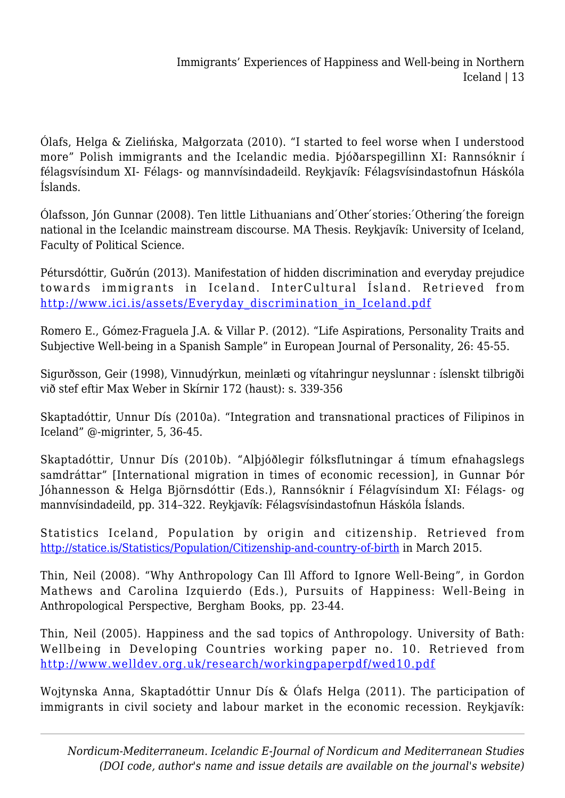Ólafs, Helga & Zielińska, Małgorzata (2010). "I started to feel worse when I understood more" Polish immigrants and the Icelandic media. Þjóðarspegillinn XI: Rannsóknir í félagsvísindum XI- Félags- og mannvísindadeild. Reykjavík: Félagsvísindastofnun Háskóla Íslands.

Ólafsson, Jón Gunnar (2008). Ten little Lithuanians and ́Other ́stories: ́Othering ́the foreign national in the Icelandic mainstream discourse. MA Thesis. Reykjavík: University of Iceland, Faculty of Political Science.

Pétursdóttir, Guðrún (2013). Manifestation of hidden discrimination and everyday prejudice towards immigrants in Iceland. InterCultural Ísland. Retrieved from [http://www.ici.is/assets/Everyday\\_discrimination\\_in\\_Iceland.pdf](http://www.ici.is/assets/Everyday_discrimination_in_Iceland.pdf)

Romero E., Gómez-Fraguela J.A. & Villar P. (2012). "Life Aspirations, Personality Traits and Subjective Well-being in a Spanish Sample" in European Journal of Personality, 26: 45-55.

Sigurðsson, Geir (1998), Vinnudýrkun, meinlæti og vítahringur neyslunnar : íslenskt tilbrigði við stef eftir Max Weber in Skírnir 172 (haust): s. 339-356

Skaptadóttir, Unnur Dís (2010a). "Integration and transnational practices of Filipinos in Iceland" @-migrinter, 5, 36-45.

Skaptadóttir, Unnur Dís (2010b). "Alþjóðlegir fólksflutningar á tímum efnahagslegs samdráttar" [International migration in times of economic recession], in Gunnar Þór Jóhannesson & Helga Björnsdóttir (Eds.), Rannsóknir í Félagvísindum XI: Félags- og mannvísindadeild, pp. 314–322. Reykjavík: Félagsvísindastofnun Háskóla Íslands.

Statistics Iceland, Population by origin and citizenship. Retrieved from <http://statice.is/Statistics/Population/Citizenship-and-country-of-birth> in March 2015.

Thin, Neil (2008). "Why Anthropology Can Ill Afford to Ignore Well-Being", in Gordon Mathews and Carolina Izquierdo (Eds.), Pursuits of Happiness: Well-Being in Anthropological Perspective, Bergham Books, pp. 23-44.

Thin, Neil (2005). Happiness and the sad topics of Anthropology. University of Bath: Wellbeing in Developing Countries working paper no. 10. Retrieved from <http://www.welldev.org.uk/research/workingpaperpdf/wed10.pdf>

Wojtynska Anna, Skaptadóttir Unnur Dís & Ólafs Helga (2011). The participation of immigrants in civil society and labour market in the economic recession. Reykjavík: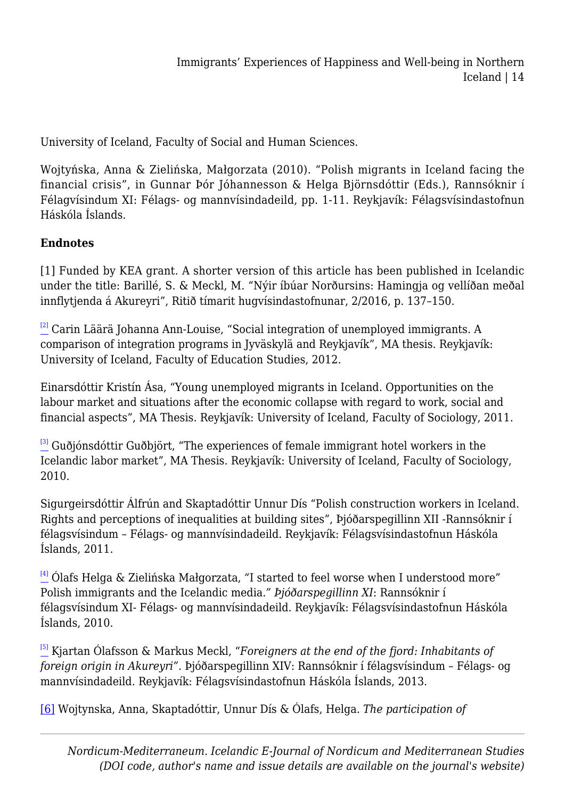University of Iceland, Faculty of Social and Human Sciences.

Wojtyńska, Anna & Zielińska, Małgorzata (2010). "Polish migrants in Iceland facing the financial crisis", in Gunnar Þór Jóhannesson & Helga Björnsdóttir (Eds.), Rannsóknir í Félagvísindum XI: Félags- og mannvísindadeild, pp. 1-11. Reykjavík: Félagsvísindastofnun Háskóla Íslands.

#### **Endnotes**

[1] Funded by KEA grant. A shorter version of this article has been published in Icelandic under the title: Barillé, S. & Meckl, M. "Nýir íbúar Norðursins: Hamingja og vellíðan meðal innflytjenda á Akureyri", Ritið tímarit hugvísindastofnunar, 2/2016, p. 137–150.

<span id="page-13-0"></span> $\frac{[2]}{2}$  $\frac{[2]}{2}$  $\frac{[2]}{2}$  Carin Läärä Johanna Ann-Louise, "Social integration of unemployed immigrants. A comparison of integration programs in Jyväskylä and Reykjavík", MA thesis. Reykjavík: University of Iceland, Faculty of Education Studies, 2012.

Einarsdóttir Kristín Ása, "Young unemployed migrants in Iceland. Opportunities on the labour market and situations after the economic collapse with regard to work, social and financial aspects", MA Thesis. Reykjavík: University of Iceland, Faculty of Sociology, 2011.

<span id="page-13-1"></span><sup>[\[3\]](#page-0-0)</sup> Guðjónsdóttir Guðbjört, "The experiences of female immigrant hotel workers in the Icelandic labor market", MA Thesis. Reykjavík: University of Iceland, Faculty of Sociology, 2010.

Sigurgeirsdóttir Álfrún and Skaptadóttir Unnur Dís "Polish construction workers in Iceland. Rights and perceptions of inequalities at building sites", Þjóðarspegillinn XII -Rannsóknir í félagsvísindum – Félags- og mannvísindadeild. Reykjavík: Félagsvísindastofnun Háskóla Íslands, 2011.

<span id="page-13-2"></span>[\[4\]](#page-0-1) Ólafs Helga & Zielińska Małgorzata, *"*I started to feel worse when I understood more" Polish immigrants and the Icelandic media*." Þjóðarspegillinn XI*: Rannsóknir í félagsvísindum XI- Félags- og mannvísindadeild. Reykjavík: Félagsvísindastofnun Háskóla Íslands, 2010.

<span id="page-13-3"></span>[\[5\]](#page-0-2) Kjartan Ólafsson & Markus Meckl, "*Foreigners at the end of the fjord: Inhabitants of foreign origin in Akureyri".* Þjóðarspegillinn XIV: Rannsóknir í félagsvísindum – Félags- og mannvísindadeild. Reykjavík: Félagsvísindastofnun Háskóla Íslands, 2013.

<span id="page-13-4"></span>[\[6\]](#page-0-3) Wojtynska, Anna, Skaptadóttir, Unnur Dís & Ólafs, Helga. *The participation of*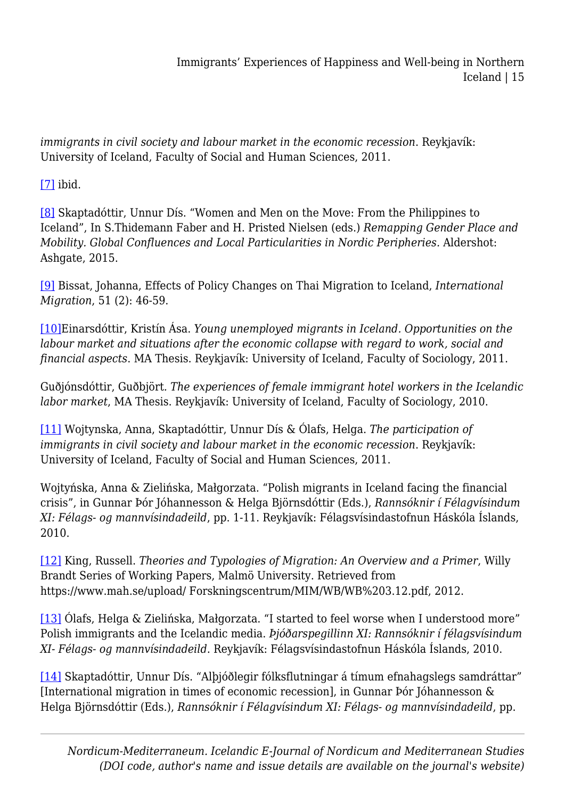*immigrants in civil society and labour market in the economic recession*. Reykjavík: University of Iceland, Faculty of Social and Human Sciences, 2011.

<span id="page-14-0"></span> $[7]$  ibid.

<span id="page-14-1"></span>[\[8\]](#page-0-5) Skaptadóttir, Unnur Dís. "Women and Men on the Move: From the Philippines to Iceland", In S.Thidemann Faber and H. Pristed Nielsen (eds.) *Remapping Gender Place and Mobility. Global Confluences and Local Particularities in Nordic Peripheries.* Aldershot: Ashgate, 2015.

<span id="page-14-2"></span>[\[9\]](#page-0-5) Bissat, Johanna, Effects of Policy Changes on Thai Migration to Iceland, *International Migration*, 51 (2): 46-59.

<span id="page-14-3"></span>[\[10\]E](#page-0-6)inarsdóttir, Kristín Ása. *Young unemployed migrants in Iceland. Opportunities on the labour market and situations after the economic collapse with regard to work, social and financial aspects*. MA Thesis. Reykjavík: University of Iceland, Faculty of Sociology, 2011.

Guðjónsdóttir, Guðbjört*. The experiences of female immigrant hotel workers in the Icelandic labor market*, MA Thesis. Reykjavík: University of Iceland, Faculty of Sociology, 2010.

<span id="page-14-4"></span>[\[11\]](#page-0-7) Wojtynska, Anna, Skaptadóttir, Unnur Dís & Ólafs, Helga. *The participation of immigrants in civil society and labour market in the economic recession*. Reykjavík: University of Iceland, Faculty of Social and Human Sciences, 2011.

Wojtyńska, Anna & Zielińska, Małgorzata. "Polish migrants in Iceland facing the financial crisis", in Gunnar Þór Jóhannesson & Helga Björnsdóttir (Eds.), *Rannsóknir í Félagvísindum XI: Félags- og mannvísindadeild*, pp. 1-11. Reykjavík: Félagsvísindastofnun Háskóla Íslands, 2010.

<span id="page-14-5"></span>[\[12\]](#page-0-8) King, Russell. *Theories and Typologies of Migration: An Overview and a Primer*, Willy Brandt Series of Working Papers, Malmö University. Retrieved from https://www.mah.se/upload/ Forskningscentrum/MIM/WB/WB%203.12.pdf, 2012.

<span id="page-14-6"></span>[\[13\]](#page-0-9) Ólafs, Helga & Zielińska, Małgorzata. "I started to feel worse when I understood more" Polish immigrants and the Icelandic media. *Þjóðarspegillinn XI: Rannsóknir í félagsvísindum XI- Félags- og mannvísindadeild*. Reykjavík: Félagsvísindastofnun Háskóla Íslands, 2010.

<span id="page-14-7"></span>[\[14\]](#page-0-10) Skaptadóttir, Unnur Dís. "Alþjóðlegir fólksflutningar á tímum efnahagslegs samdráttar" [International migration in times of economic recession], in Gunnar Þór Jóhannesson & Helga Björnsdóttir (Eds.), *Rannsóknir í Félagvísindum XI: Félags- og mannvísindadeild*, pp.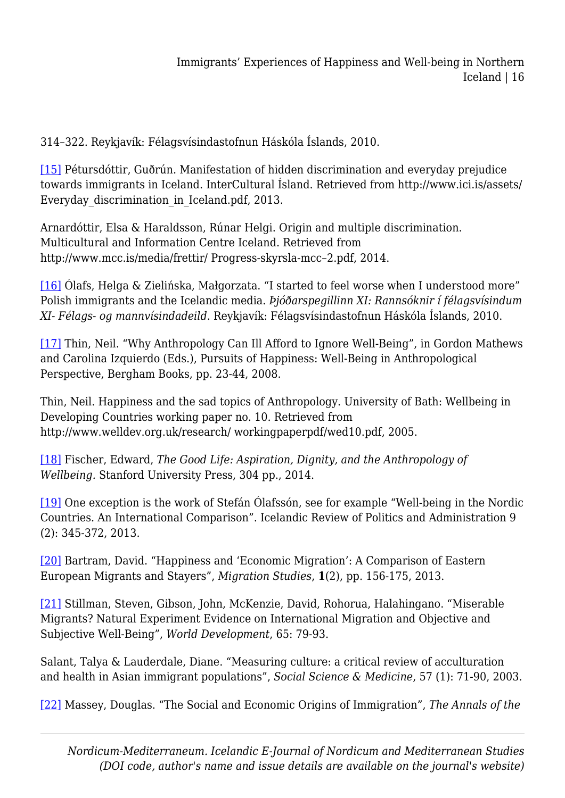314–322. Reykjavík: Félagsvísindastofnun Háskóla Íslands, 2010.

<span id="page-15-0"></span>[\[15\]](#page-0-11) Pétursdóttir, Guðrún. Manifestation of hidden discrimination and everyday prejudice towards immigrants in Iceland. InterCultural Ísland. Retrieved from http://www.ici.is/assets/ Everyday discrimination in Iceland.pdf, 2013.

Arnardóttir, Elsa & Haraldsson, Rúnar Helgi. Origin and multiple discrimination. Multicultural and Information Centre Iceland. Retrieved from http://www.mcc.is/media/frettir/ Progress-skyrsla-mcc–2.pdf, 2014.

<span id="page-15-1"></span>[\[16\]](#page-0-12) Ólafs, Helga & Zielińska, Małgorzata. "I started to feel worse when I understood more" Polish immigrants and the Icelandic media. *Þjóðarspegillinn XI: Rannsóknir í félagsvísindum XI- Félags- og mannvísindadeild*. Reykjavík: Félagsvísindastofnun Háskóla Íslands, 2010.

<span id="page-15-2"></span>[\[17\]](#page-1-0) Thin, Neil. "Why Anthropology Can Ill Afford to Ignore Well-Being", in Gordon Mathews and Carolina Izquierdo (Eds.), Pursuits of Happiness: Well-Being in Anthropological Perspective, Bergham Books, pp. 23-44, 2008.

Thin, Neil. Happiness and the sad topics of Anthropology. University of Bath: Wellbeing in Developing Countries working paper no. 10. Retrieved from http://www.welldev.org.uk/research/ workingpaperpdf/wed10.pdf, 2005.

<span id="page-15-3"></span>[\[18\]](#page-1-1) Fischer, Edward, *The Good Life: Aspiration, Dignity, and the Anthropology of Wellbeing.* Stanford University Press, 304 pp., 2014.

<span id="page-15-4"></span>[\[19\]](#page-1-2) One exception is the work of Stefán Ólafssón, see for example "Well-being in the Nordic Countries. An International Comparison". Icelandic Review of Politics and Administration 9 (2): 345-372, 2013.

<span id="page-15-5"></span>[\[20\]](#page-1-3) Bartram, David. "Happiness and 'Economic Migration': A Comparison of Eastern European Migrants and Stayers", *Migration Studies*, **1**(2), pp. 156-175, 2013.

<span id="page-15-6"></span>[\[21\]](#page-1-4) Stillman, Steven, Gibson, John, McKenzie, David, Rohorua, Halahingano. "Miserable Migrants? Natural Experiment Evidence on International Migration and Objective and Subjective Well-Being", *World Development*, 65: 79-93.

Salant, Talya & Lauderdale, Diane. "Measuring culture: a critical review of acculturation and health in Asian immigrant populations", *Social Science & Medicine*, 57 (1): 71-90, 2003.

<span id="page-15-7"></span>[\[22\]](#page-1-5) Massey, Douglas. "The Social and Economic Origins of Immigration", *The Annals of the*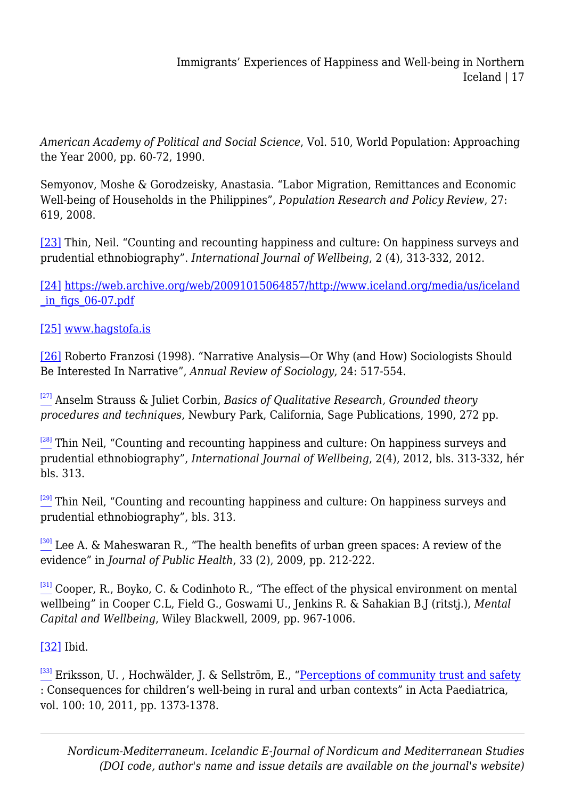*American Academy of Political and Social Science*, Vol. 510, World Population: Approaching the Year 2000, pp. 60-72, 1990.

Semyonov, Moshe & Gorodzeisky, Anastasia. "Labor Migration, Remittances and Economic Well-being of Households in the Philippines", *Population Research and Policy Review*, 27: 619, 2008.

<span id="page-16-0"></span>[\[23\]](#page-1-6) Thin, Neil. "Counting and recounting happiness and culture: On happiness surveys and prudential ethnobiography". *International Journal of Wellbeing*, 2 (4), 313-332, 2012.

<span id="page-16-1"></span>[\[24\]](#page-1-7) [https://web.archive.org/web/20091015064857/http://www.iceland.org/media/us/iceland](https://web.archive.org/web/20091015064857/http:/www.iceland.org/media/us/iceland_in_figs_06-07.pdf)  $in$  figs  $06-07.pdf$ 

<span id="page-16-2"></span>[\[25\]](#page-1-8) [www.hagstofa.is](http://www.hagstofa.is)

<span id="page-16-3"></span>[\[26\]](#page-1-9) Roberto Franzosi (1998). "Narrative Analysis—Or Why (and How) Sociologists Should Be Interested In Narrative", *Annual Review of Sociology*, 24: 517-554.

<span id="page-16-4"></span>[\[27\]](#page-1-10) Anselm Strauss & Juliet Corbin, *Basics of Qualitative Research, Grounded theory procedures and techniques*, Newbury Park, California, Sage Publications, 1990, 272 pp.

<span id="page-16-5"></span> $\frac{[28]}{2}$  $\frac{[28]}{2}$  $\frac{[28]}{2}$  Thin Neil, "Counting and recounting happiness and culture: On happiness surveys and prudential ethnobiography", *International Journal of Wellbeing*, 2(4), 2012, bls. 313-332, hér bls. 313.

<span id="page-16-6"></span> $\frac{[29]}{2}$  $\frac{[29]}{2}$  $\frac{[29]}{2}$  Thin Neil, "Counting and recounting happiness and culture: On happiness surveys and prudential ethnobiography", bls. 313.

<span id="page-16-7"></span>[\[30\]](#page-2-2) Lee A. & Maheswaran R., "The health benefits of urban green spaces: A review of the evidence" in *Journal of Public Health*, 33 (2), 2009, pp. 212-222.

<span id="page-16-8"></span> $[31]$  Cooper, R., Boyko, C. & Codinhoto R., "The effect of the physical environment on mental wellbeing" in Cooper C.L, Field G., Goswami U., Jenkins R. & Sahakian B.J (ritstj.), *Mental Capital and Wellbeing*, Wiley Blackwell, 2009, pp. 967-1006.

<span id="page-16-9"></span>[\[32\]](#page-3-0) Ibid.

<span id="page-16-11"></span><span id="page-16-10"></span> $\frac{[33]}{2}$  $\frac{[33]}{2}$  $\frac{[33]}{2}$  Eriksson, U., Hochwälder, J. & Sellström, E., ["Perceptions of community trust and safety](http://urn.kb.se/resolve?urn=urn:nbn:se:miun:diva-13933) : Consequences for children's well-being in rural and urban contexts" in Acta Paediatrica, vol. 100: 10, 2011, pp. 1373-1378.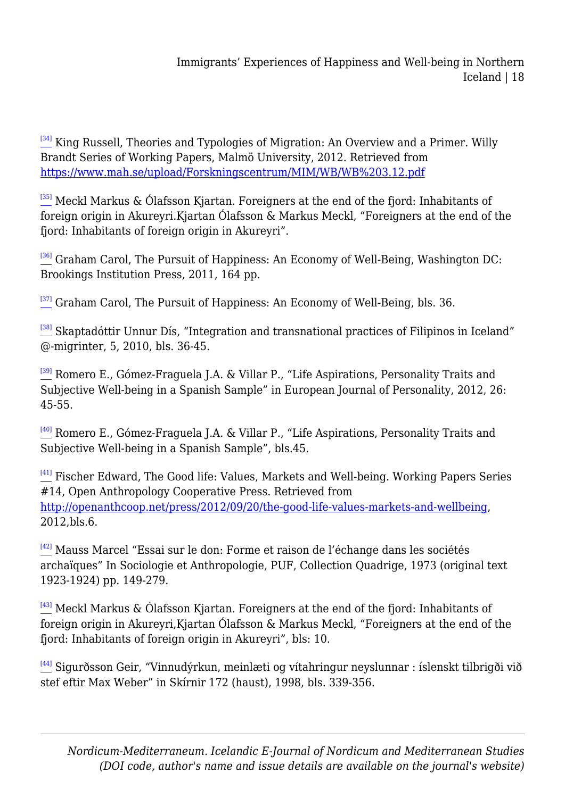<sup>[\[34\]](#page-4-0)</sup> King Russell, Theories and Typologies of Migration: An Overview and a Primer. Willy Brandt Series of Working Papers, Malmö University, 2012. Retrieved from <https://www.mah.se/upload/Forskningscentrum/MIM/WB/WB%203.12.pdf>

<span id="page-17-0"></span> $\frac{351}{2}$  Meckl Markus & Ólafsson Kjartan. Foreigners at the end of the fjord: Inhabitants of foreign origin in Akureyri.Kjartan Ólafsson & Markus Meckl, "Foreigners at the end of the fjord: Inhabitants of foreign origin in Akureyri".

<span id="page-17-1"></span> $\frac{[36]}{2}$  $\frac{[36]}{2}$  $\frac{[36]}{2}$  Graham Carol, The Pursuit of Happiness: An Economy of Well-Being, Washington DC: Brookings Institution Press, 2011, 164 pp.

<span id="page-17-2"></span> $^{[37]}$  $^{[37]}$  $^{[37]}$  Graham Carol, The Pursuit of Happiness: An Economy of Well-Being, bls. 36.

<span id="page-17-3"></span> $^{[38]}$  $^{[38]}$  $^{[38]}$  Skaptadóttir Unnur Dís, "Integration and transnational practices of Filipinos in Iceland" @-migrinter, 5, 2010, bls. 36-45.

<span id="page-17-4"></span>[\[39\]](#page-6-0) Romero E., Gómez-Fraguela J.A. & Villar P., "Life Aspirations, Personality Traits and Subjective Well-being in a Spanish Sample" in European Journal of Personality, 2012, 26: 45-55.

<span id="page-17-5"></span>[\[40\]](#page-6-1) Romero E., Gómez-Fraguela J.A. & Villar P., "Life Aspirations, Personality Traits and Subjective Well-being in a Spanish Sample", bls.45.

<span id="page-17-6"></span><sup>[\[41\]](#page-6-2)</sup> Fischer Edward, The Good life: Values, Markets and Well-being. Working Papers Series #14, Open Anthropology Cooperative Press. Retrieved from [http://openanthcoop.net/press/2012/09/20/the-good-life-values-markets-and-wellbeing,](http://openanthcoop.net/press/2012/09/20/the-good-life-values-markets-and-wellbeing) 2012,bls.6.

<span id="page-17-7"></span> $[42]$  Mauss Marcel "Essai sur le don: Forme et raison de l'échange dans les sociétés archaïques" In Sociologie et Anthropologie, PUF, Collection Quadrige, 1973 (original text 1923-1924) pp. 149-279.

<span id="page-17-8"></span>[\[43\]](#page-7-0) Meckl Markus & Ólafsson Kjartan. Foreigners at the end of the fjord: Inhabitants of foreign origin in Akureyri,Kjartan Ólafsson & Markus Meckl, "Foreigners at the end of the fjord: Inhabitants of foreign origin in Akureyri", bls: 10.

<span id="page-17-10"></span><span id="page-17-9"></span>[\[44\]](#page-8-0) Sigurðsson Geir, "Vinnudýrkun, meinlæti og vítahringur neyslunnar : íslenskt tilbrigði við stef eftir Max Weber" in Skírnir 172 (haust), 1998, bls. 339-356.